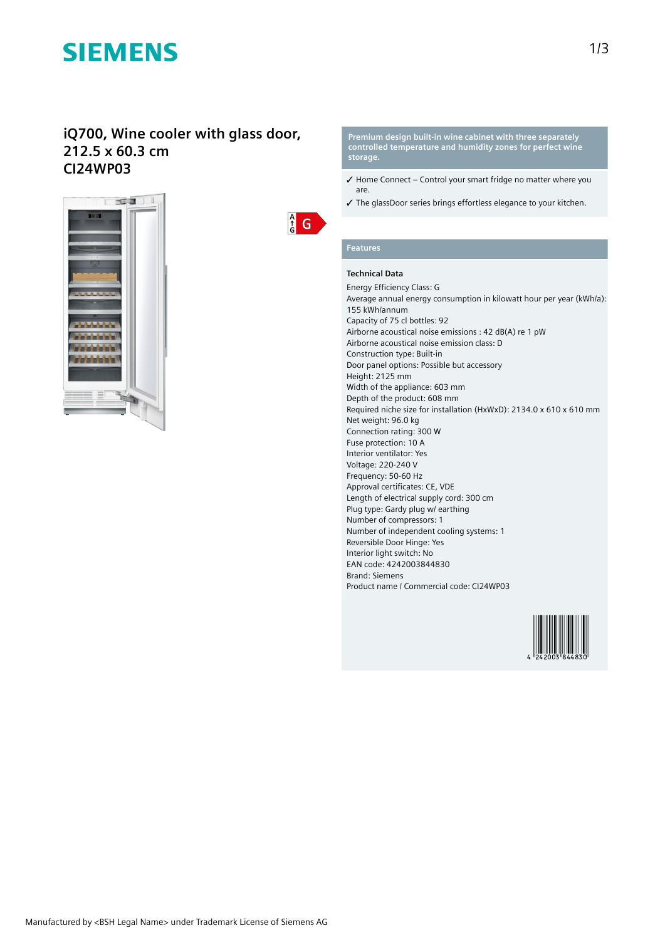# **SIEMENS**

### **iQ700, Wine cooler with glass door, 212.5 x 60.3 cm CI24WP03**



 $\frac{A}{G}$  $\mathsf{G}$  **Premium design built-in wine cabinet with three separately controlled temperature and humidity zones for perfect wine storage.**

- ✓ Home Connect Control your smart fridge no matter where you are.
- ✓ The glassDoor series brings effortless elegance to your kitchen.

#### **Features**

### **Technical Data**

Energy Efficiency Class: G Average annual energy consumption in kilowatt hour per year (kWh/a): 155 kWh/annum Capacity of 75 cl bottles: 92 Airborne acoustical noise emissions : 42 dB(A) re 1 pW Airborne acoustical noise emission class: D Construction type: Built-in Door panel options: Possible but accessory Height: 2125 mm Width of the appliance: 603 mm Depth of the product: 608 mm Required niche size for installation (HxWxD): 2134.0 x 610 x 610 mm Net weight: 96.0 kg Connection rating: 300 W Fuse protection: 10 A Interior ventilator: Yes Voltage: 220-240 V Frequency: 50-60 Hz Approval certificates: CE, VDE Length of electrical supply cord: 300 cm Plug type: Gardy plug w/ earthing Number of compressors: 1 Number of independent cooling systems: 1 Reversible Door Hinge: Yes Interior light switch: No EAN code: 4242003844830 Brand: Siemens Product name / Commercial code: CI24WP03

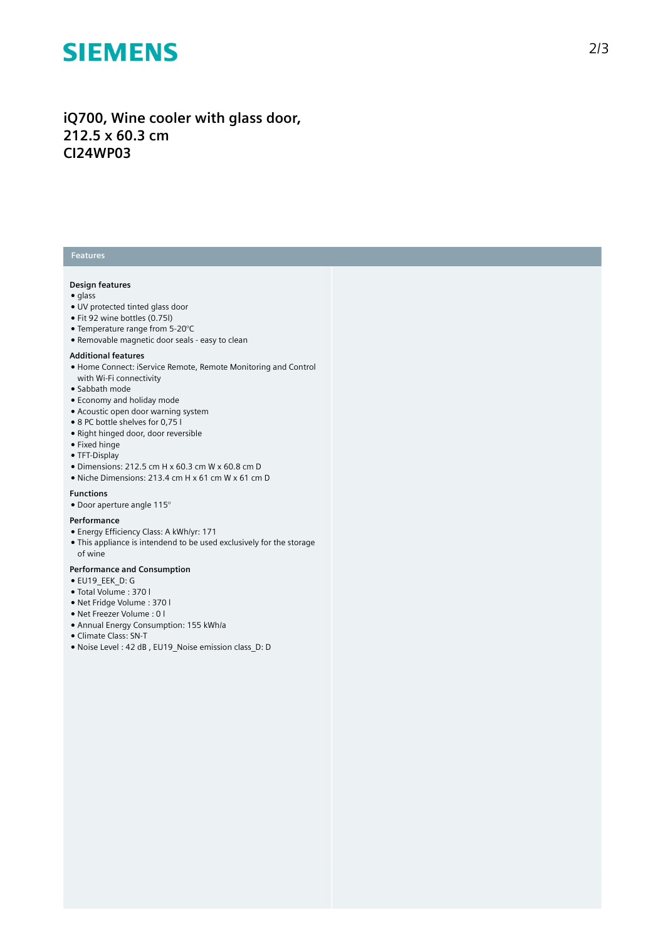# **SIEMENS**

**iQ700, Wine cooler with glass door, 212.5 x 60.3 cm CI24WP03**

### **Features**

#### **Design features**

- glass
- UV protected tinted glass door
- Fit 92 wine bottles (0.75l)
- Temperature range from 5-20°C
- Removable magnetic door seals easy to clean

#### **Additional features**

- Home Connect: iService Remote, Remote Monitoring and Control with Wi-Fi connectivity
- Sabbath mode
- Economy and holiday mode
- Acoustic open door warning system
- 8 PC bottle shelves for 0,75 l
- Right hinged door, door reversible
- Fixed hinge
- TFT-Display
- $\bullet$  Dimensions: 212.5 cm H x 60.3 cm W x 60.8 cm D
- Niche Dimensions: 213.4 cm H x 61 cm W x 61 cm D

#### **Functions**

● Door aperture angle 115°

#### **Performance**

- Energy Efficiency Class: A kWh/yr: 171
- This appliance is intendend to be used exclusively for the storage of wine

#### **Performance and Consumption**

- EU19\_EEK\_D: G
- Total Volume : 370 l
- Net Fridge Volume : 370 l
- Net Freezer Volume : 0 l
- Annual Energy Consumption: 155 kWh/a
- Climate Class: SN-T
- Noise Level : 42 dB , EU19\_Noise emission class\_D: D